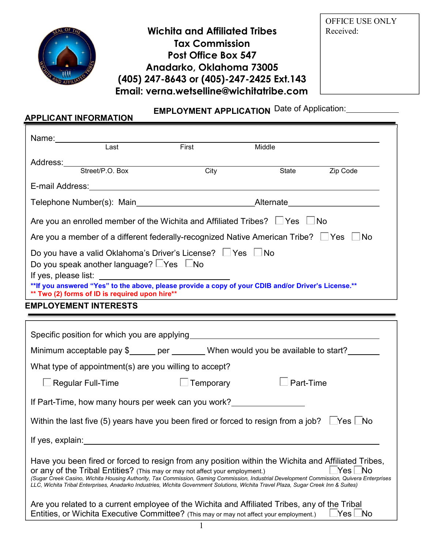

APPLICANT INFORMATION

Wichita **and Affiliated Tribes Tax Commission** Post Office Box **547** Anadarko, Oklahoma 73005 (405) 247-**8643 or (405)-247-2425 Ext.143** Email: **verna.wetselline**@wichitatribe.com

OFFICE USE ONLY Received:

# EMPLOYMENT APPLICATION Date of Application:

| Name:_____________                                                                                      |                                                                                           |                                                                                                                                                                                                                                                                                                                                                                                                                                                                         |                                                                                                                      |          |
|---------------------------------------------------------------------------------------------------------|-------------------------------------------------------------------------------------------|-------------------------------------------------------------------------------------------------------------------------------------------------------------------------------------------------------------------------------------------------------------------------------------------------------------------------------------------------------------------------------------------------------------------------------------------------------------------------|----------------------------------------------------------------------------------------------------------------------|----------|
|                                                                                                         | Last                                                                                      | First                                                                                                                                                                                                                                                                                                                                                                                                                                                                   | Middle                                                                                                               |          |
|                                                                                                         | Address:<br>Street/P.O. Box C                                                             | City                                                                                                                                                                                                                                                                                                                                                                                                                                                                    | State                                                                                                                | Zip Code |
|                                                                                                         |                                                                                           |                                                                                                                                                                                                                                                                                                                                                                                                                                                                         |                                                                                                                      |          |
|                                                                                                         |                                                                                           |                                                                                                                                                                                                                                                                                                                                                                                                                                                                         |                                                                                                                      |          |
|                                                                                                         |                                                                                           |                                                                                                                                                                                                                                                                                                                                                                                                                                                                         |                                                                                                                      |          |
|                                                                                                         |                                                                                           | Are you an enrolled member of the Wichita and Affiliated Tribes? $\Box$ Yes $\Box$ No                                                                                                                                                                                                                                                                                                                                                                                   |                                                                                                                      |          |
|                                                                                                         |                                                                                           | Are you a member of a different federally-recognized Native American Tribe? $\Box$ Yes $\Box$ No                                                                                                                                                                                                                                                                                                                                                                        |                                                                                                                      |          |
|                                                                                                         | Do you speak another language? LYes LNo<br>** Two (2) forms of ID is required upon hire** | Do you have a valid Oklahoma's Driver's License? Ves No<br>**If you answered "Yes" to the above, please provide a copy of your CDIB and/or Driver's License.**                                                                                                                                                                                                                                                                                                          | <u> 1989 - Johann Stein, marwolaethau a bhann an t-Amhair ann an t-Amhair an t-Amhair an t-Amhair an t-Amhair an</u> |          |
|                                                                                                         | <b>EMPLOYEMENT INTERESTS</b>                                                              |                                                                                                                                                                                                                                                                                                                                                                                                                                                                         |                                                                                                                      |          |
|                                                                                                         |                                                                                           | Minimum acceptable pay \$_____ per _______ When would you be available to start?<br>What type of appointment(s) are you willing to accept?                                                                                                                                                                                                                                                                                                                              |                                                                                                                      |          |
|                                                                                                         |                                                                                           |                                                                                                                                                                                                                                                                                                                                                                                                                                                                         | $\perp$ Part-Time                                                                                                    |          |
| $\Box$ Regular Full-Time                                                                                |                                                                                           | Temporary                                                                                                                                                                                                                                                                                                                                                                                                                                                               |                                                                                                                      |          |
|                                                                                                         |                                                                                           | If Part-Time, how many hours per week can you work?                                                                                                                                                                                                                                                                                                                                                                                                                     |                                                                                                                      |          |
| Within the last five (5) years have you been fired or forced to resign from a job? $\Box$ Yes $\Box$ No |                                                                                           |                                                                                                                                                                                                                                                                                                                                                                                                                                                                         |                                                                                                                      |          |
| If yes, explain:                                                                                        |                                                                                           |                                                                                                                                                                                                                                                                                                                                                                                                                                                                         |                                                                                                                      |          |
|                                                                                                         |                                                                                           | Have you been fired or forced to resign from any position within the Wichita and Affiliated Tribes,<br>Or any of the Tribal Entities? (This may or may not affect your employment.)<br>(Sugar Creek Casino, Wichita Housing Authority, Tax Commission, Gaming Commission, Industrial Development Commission, Quivera Enterprises<br>LLC, Wichita Tribal Enterprises, Anadarko Industries, Wichita Government Solutions, Wichita Travel Plaza, Sugar Creek Inn & Suites) |                                                                                                                      |          |
|                                                                                                         |                                                                                           | Are you related to a current employee of the Wichita and Affiliated Tribes, any of the Tribal<br>Entities, or Wichita Executive Committee? (This may or may not affect your employment.)                                                                                                                                                                                                                                                                                |                                                                                                                      |          |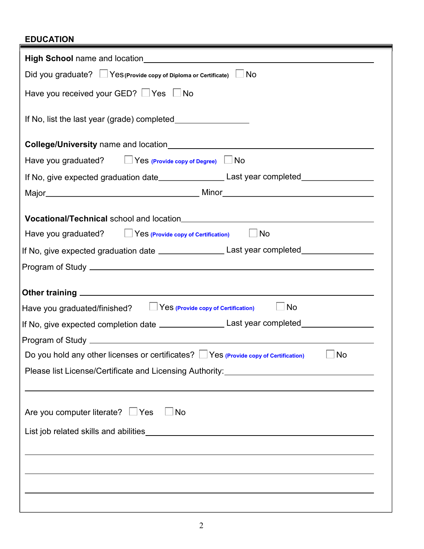## EDUCATION

| <b>High School</b> name and location <b>Example 2018 High School</b> name and location                                                                                                                                                    |  |  |  |
|-------------------------------------------------------------------------------------------------------------------------------------------------------------------------------------------------------------------------------------------|--|--|--|
| Did you graduate? $\Box$ Yes (Provide copy of Diploma or Certificate) $\Box$ No                                                                                                                                                           |  |  |  |
| Have you received your GED? See Set No                                                                                                                                                                                                    |  |  |  |
|                                                                                                                                                                                                                                           |  |  |  |
| <b>College/University</b> name and location <b>COLLEGE ASSESSED ASSESSED ASSESSED ASSESSED ASSESSED ASSESSED ASSESSED ASSESSED ASSESSED ASSESSED AND LOCAL CONTRACT AND A LOCAL CONTRACT AND LOCAL CONTRACT AND LOCAL CONTRACT AND LO</b> |  |  |  |
| Have you graduated? $\Box$ Yes (Provide copy of Degree) $\Box$ No                                                                                                                                                                         |  |  |  |
| If No, give expected graduation date_______________________Last year completed_____________________                                                                                                                                       |  |  |  |
|                                                                                                                                                                                                                                           |  |  |  |
|                                                                                                                                                                                                                                           |  |  |  |
|                                                                                                                                                                                                                                           |  |  |  |
| Have you graduated? Yes (Provide copy of Certification) Mo                                                                                                                                                                                |  |  |  |
| If No, give expected graduation date _______________________Last year completed____________________                                                                                                                                       |  |  |  |
|                                                                                                                                                                                                                                           |  |  |  |
|                                                                                                                                                                                                                                           |  |  |  |
| $\Box$ No<br>Have you graduated/finished?   49 Yes (Provide copy of Certification)                                                                                                                                                        |  |  |  |
| If No, give expected completion date _______________________Last year completed____________________                                                                                                                                       |  |  |  |
|                                                                                                                                                                                                                                           |  |  |  |
| Do you hold any other licenses or certificates? $\Box$ Yes (Provide copy of Certification)<br>No                                                                                                                                          |  |  |  |
| Please list License/Certificate and Licensing Authority: 2000 2010 2020 2020 2031 2032 2033 2040 2040 2051 20                                                                                                                             |  |  |  |
|                                                                                                                                                                                                                                           |  |  |  |
|                                                                                                                                                                                                                                           |  |  |  |
| Are you computer literate? Ves UNo                                                                                                                                                                                                        |  |  |  |
|                                                                                                                                                                                                                                           |  |  |  |
|                                                                                                                                                                                                                                           |  |  |  |
|                                                                                                                                                                                                                                           |  |  |  |
|                                                                                                                                                                                                                                           |  |  |  |
|                                                                                                                                                                                                                                           |  |  |  |
|                                                                                                                                                                                                                                           |  |  |  |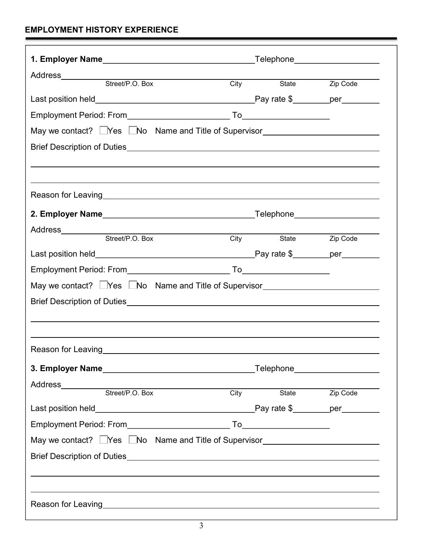## EMPLOYMENT HISTORY EXPERIENCE

| Address__________                                                                                                                                                                                                              |                   |            |                       |  |
|--------------------------------------------------------------------------------------------------------------------------------------------------------------------------------------------------------------------------------|-------------------|------------|-----------------------|--|
| Street/P.O. Box                                                                                                                                                                                                                | $\overline{City}$ |            | State <b>Zip Code</b> |  |
|                                                                                                                                                                                                                                |                   |            |                       |  |
|                                                                                                                                                                                                                                |                   |            |                       |  |
| May we contact? Nes LNo Name and Title of Supervisor____________________________                                                                                                                                               |                   |            |                       |  |
| Brief Description of Duties <b>Exercise Server Access 2016</b> Prior and Contract and Contract Contract 2016                                                                                                                   |                   |            |                       |  |
|                                                                                                                                                                                                                                |                   |            |                       |  |
|                                                                                                                                                                                                                                |                   |            |                       |  |
| Reason for Leaving the contract of the contract of the contract of the contract of the contract of the contract of the contract of the contract of the contract of the contract of the contract of the contract of the contrac |                   |            |                       |  |
|                                                                                                                                                                                                                                |                   |            |                       |  |
|                                                                                                                                                                                                                                |                   |            |                       |  |
|                                                                                                                                                                                                                                |                   | City State | Zip Code              |  |
|                                                                                                                                                                                                                                |                   |            |                       |  |
|                                                                                                                                                                                                                                |                   |            |                       |  |
| May we contact? Nes No Name and Title of Supervisor                                                                                                                                                                            |                   |            |                       |  |
|                                                                                                                                                                                                                                |                   |            |                       |  |
|                                                                                                                                                                                                                                |                   |            |                       |  |
|                                                                                                                                                                                                                                |                   |            |                       |  |
| <b>Reason for Leaving</b>                                                                                                                                                                                                      |                   |            |                       |  |
|                                                                                                                                                                                                                                |                   |            |                       |  |
| Address__________                                                                                                                                                                                                              |                   |            |                       |  |
| Street/P.O. Box                                                                                                                                                                                                                |                   | City       | State <b>Zip Code</b> |  |
|                                                                                                                                                                                                                                |                   |            |                       |  |
|                                                                                                                                                                                                                                |                   |            |                       |  |
|                                                                                                                                                                                                                                |                   |            |                       |  |
| May we contact? Nes No Name and Title of Supervisor                                                                                                                                                                            |                   |            |                       |  |
|                                                                                                                                                                                                                                |                   |            |                       |  |
|                                                                                                                                                                                                                                |                   |            |                       |  |
|                                                                                                                                                                                                                                |                   |            |                       |  |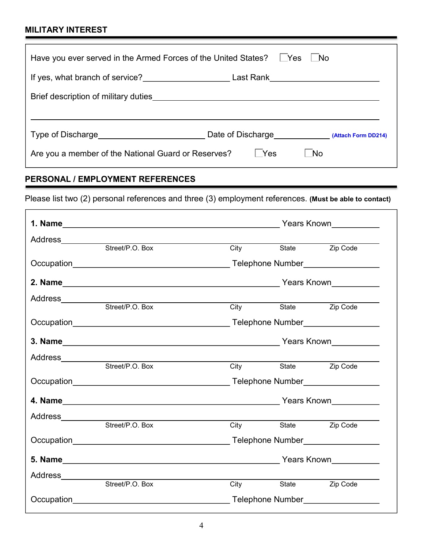### MILITARY INTEREST

| Have you ever served in the Armed Forces of the United States? LYes      |                                       | $\blacksquare$ No |  |  |
|--------------------------------------------------------------------------|---------------------------------------|-------------------|--|--|
| If yes, what branch of service?<br>Last Rank <u>____________________</u> |                                       |                   |  |  |
|                                                                          |                                       |                   |  |  |
|                                                                          |                                       |                   |  |  |
|                                                                          | Date of Discharge (Attach Form DD214) |                   |  |  |
| Are you a member of the National Guard or Reserves?                      | ∣ Yes                                 | No.               |  |  |

# PERSONAL / EMPLOYMENT REFERENCES

Please list two (2) personal references and three (3) employment references. (Must be able to contact)

|                                         |                                                                          | Years Known__________     |                     |          |
|-----------------------------------------|--------------------------------------------------------------------------|---------------------------|---------------------|----------|
|                                         |                                                                          |                           |                     |          |
|                                         |                                                                          |                           | City State Zip Code |          |
|                                         |                                                                          |                           |                     |          |
|                                         |                                                                          |                           |                     |          |
|                                         |                                                                          |                           |                     |          |
|                                         |                                                                          | <b>City</b>               | State               | Zip Code |
|                                         |                                                                          |                           |                     |          |
|                                         |                                                                          |                           |                     |          |
| Address                                 | <u> 1989 - Johann John Stein, mars an deus Amerikaansk kommunister (</u> |                           |                     |          |
|                                         | Street/P.O. Box                                                          |                           | City State Zip Code |          |
|                                         |                                                                          |                           |                     |          |
|                                         |                                                                          |                           |                     |          |
|                                         |                                                                          |                           |                     |          |
|                                         |                                                                          | <b>City</b>               | State               | Zip Code |
|                                         |                                                                          |                           |                     |          |
|                                         |                                                                          |                           |                     |          |
| Address<br><u>_____________________</u> |                                                                          |                           |                     |          |
|                                         | Street/P.O. Box                                                          | $City$ and $\overline{C}$ | State               | Zip Code |
|                                         |                                                                          |                           |                     |          |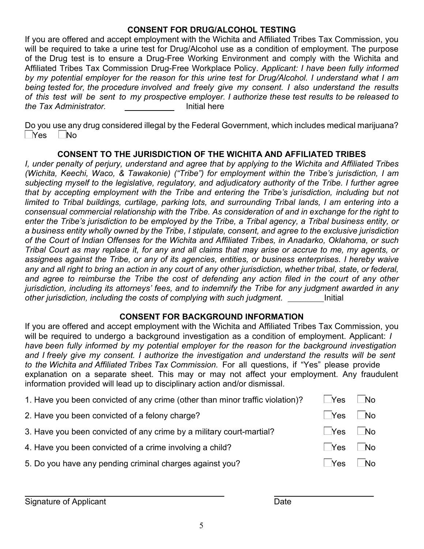#### CONSENT FOR DRUG/ALCOHOL TESTING

If you are offered and accept employment with the Wichita and Affiliated Tribes Tax Commission, you will be required to take a urine test for Drug/Alcohol use as a condition of employment. The purpose of the Drug test is to ensure a Drug-Free Working Environment and comply with the Wichita and Affiliated Tribes Tax Commission Drug-Free Workplace Policy. Applicant: I have been fully informed by my potential employer for the reason for this urine test for Drug/Alcohol. I understand what I am being tested for, the procedure involved and freely give my consent. I also understand the results of this test will be sent to my prospective employer. I authorize these test results to be released to the *Tax Administrator*. Initial here

Do you use any drug considered illegal by the Federal Government, which includes medical marijuana?  $\neg$ Yes  $\neg$ No

#### CONSENT TO THE JURISDICTION OF THE WICHITA AND AFFILIATED TRIBES

I, under penalty of perjury, understand and agree that by applying to the Wichita and Affiliated Tribes (Wichita, Keechi, Waco, & Tawakonie) ("Tribe") for employment within the Tribe's jurisdiction, I am subjecting myself to the legislative, regulatory, and adjudicatory authority of the Tribe. I further agree that by accepting employment with the Tribe and entering the Tribe's jurisdiction, including but not limited to Tribal buildings, curtilage, parking lots, and surrounding Tribal lands, I am entering into a consensual commercial relationship with the Tribe. As consideration of and in exchange for the right to enter the Tribe's jurisdiction to be employed by the Tribe, a Tribal agency, a Tribal business entity, or a business entity wholly owned by the Tribe, I stipulate, consent, and agree to the exclusive jurisdiction of the Court of Indian Offenses for the Wichita and Affiliated Tribes, in Anadarko, Oklahoma, or such Tribal Court as may replace it, for any and all claims that may arise or accrue to me, my agents, or assignees against the Tribe, or any of its agencies, entities, or business enterprises. I hereby waive any and all right to bring an action in any court of any other jurisdiction, whether tribal, state, or federal, and agree to reimburse the Tribe the cost of defending any action filed in the court of any other jurisdiction, including its attorneys' fees, and to indemnify the Tribe for any judgment awarded in any other jurisdiction, including the costs of complying with such judgment.

#### CONSENT FOR BACKGROUND INFORMATION

If you are offered and accept employment with the Wichita and Affiliated Tribes Tax Commission, you will be required to undergo a background investigation as a condition of employment. Applicant: I have been fully informed by my potential employer for the reason for the background investigation and I freely give my consent. I authorize the investigation and understand the results will be sent to the Wichit*a and Affiliated Tribes Tax Commission*. For all questions, if "Yes" please provide explanation on a separate sheet. This may or may not affect your employment. Any fraudulent information provided will lead up to disciplinary action and/or dismissal.

| 1. Have you been convicted of any crime (other than minor traffic violation)? | Yes                  | $\blacksquare$ No |
|-------------------------------------------------------------------------------|----------------------|-------------------|
| 2. Have you been convicted of a felony charge?                                | l Yes                | $\blacksquare$ No |
| 3. Have you been convicted of any crime by a military court-martial?          | $\Box$ Yes $\Box$ No |                   |
| 4. Have you been convicted of a crime involving a child?                      | ∣ <sup>N</sup> es    | ∣ No              |
| 5. Do you have any pending criminal charges against you?                      | $\sqrt{1 + 2}$       | No                |
|                                                                               |                      |                   |

Signature of Applicant **Date**